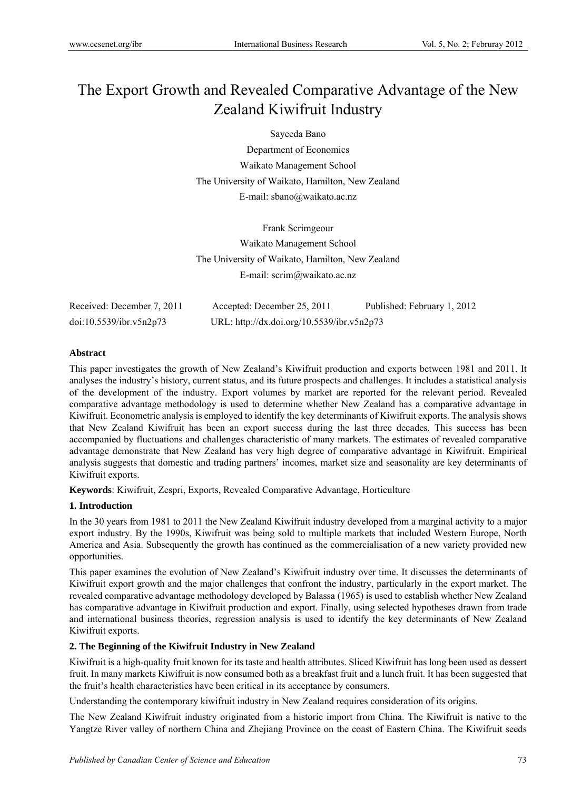# The Export Growth and Revealed Comparative Advantage of the New Zealand Kiwifruit Industry

Sayeeda Bano

Department of Economics Waikato Management School The University of Waikato, Hamilton, New Zealand E-mail: sbano@waikato.ac.nz

Frank Scrimgeour Waikato Management School The University of Waikato, Hamilton, New Zealand E-mail: scrim@waikato.ac.nz

| Received: December 7, 2011 | Accepted: December 25, 2011                | Published: February 1, 2012 |
|----------------------------|--------------------------------------------|-----------------------------|
| doi:10.5539/ibr.v5n2p73    | URL: http://dx.doi.org/10.5539/ibr.v5n2p73 |                             |

## **Abstract**

This paper investigates the growth of New Zealand's Kiwifruit production and exports between 1981 and 2011. It analyses the industry's history, current status, and its future prospects and challenges. It includes a statistical analysis of the development of the industry. Export volumes by market are reported for the relevant period. Revealed comparative advantage methodology is used to determine whether New Zealand has a comparative advantage in Kiwifruit. Econometric analysis is employed to identify the key determinants of Kiwifruit exports. The analysis shows that New Zealand Kiwifruit has been an export success during the last three decades. This success has been accompanied by fluctuations and challenges characteristic of many markets. The estimates of revealed comparative advantage demonstrate that New Zealand has very high degree of comparative advantage in Kiwifruit. Empirical analysis suggests that domestic and trading partners' incomes, market size and seasonality are key determinants of Kiwifruit exports.

**Keywords**: Kiwifruit, Zespri, Exports, Revealed Comparative Advantage, Horticulture

#### **1. Introduction**

In the 30 years from 1981 to 2011 the New Zealand Kiwifruit industry developed from a marginal activity to a major export industry. By the 1990s, Kiwifruit was being sold to multiple markets that included Western Europe, North America and Asia. Subsequently the growth has continued as the commercialisation of a new variety provided new opportunities.

This paper examines the evolution of New Zealand's Kiwifruit industry over time. It discusses the determinants of Kiwifruit export growth and the major challenges that confront the industry, particularly in the export market. The revealed comparative advantage methodology developed by Balassa (1965) is used to establish whether New Zealand has comparative advantage in Kiwifruit production and export. Finally, using selected hypotheses drawn from trade and international business theories, regression analysis is used to identify the key determinants of New Zealand Kiwifruit exports.

#### **2. The Beginning of the Kiwifruit Industry in New Zealand**

Kiwifruit is a high-quality fruit known for its taste and health attributes. Sliced Kiwifruit has long been used as dessert fruit. In many markets Kiwifruit is now consumed both as a breakfast fruit and a lunch fruit. It has been suggested that the fruit's health characteristics have been critical in its acceptance by consumers.

Understanding the contemporary kiwifruit industry in New Zealand requires consideration of its origins.

The New Zealand Kiwifruit industry originated from a historic import from China. The Kiwifruit is native to the Yangtze River valley of northern China and Zhejiang Province on the coast of Eastern China. The Kiwifruit seeds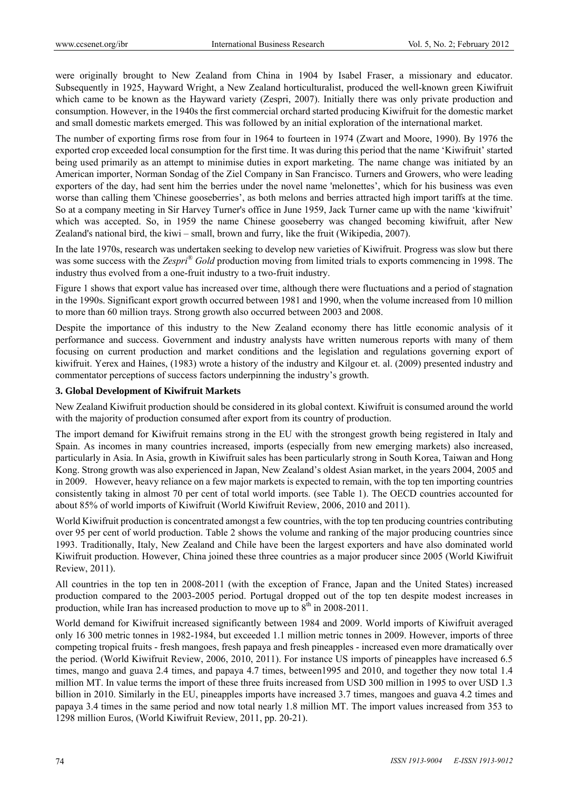were originally brought to New Zealand from China in 1904 by Isabel Fraser, a missionary and educator. Subsequently in 1925, Hayward Wright, a New Zealand horticulturalist, produced the well-known green Kiwifruit which came to be known as the Hayward variety (Zespri, 2007). Initially there was only private production and consumption. However, in the 1940s the first commercial orchard started producing Kiwifruit for the domestic market and small domestic markets emerged. This was followed by an initial exploration of the international market.

The number of exporting firms rose from four in 1964 to fourteen in 1974 (Zwart and Moore, 1990). By 1976 the exported crop exceeded local consumption for the first time. It was during this period that the name 'Kiwifruit' started being used primarily as an attempt to minimise duties in export marketing. The name change was initiated by an American importer, Norman Sondag of the Ziel Company in San Francisco. Turners and Growers, who were leading exporters of the day, had sent him the berries under the novel name 'melonettes', which for his business was even worse than calling them 'Chinese gooseberries', as both melons and berries attracted high import tariffs at the time. So at a company meeting in Sir Harvey Turner's office in June 1959, Jack Turner came up with the name 'kiwifruit' which was accepted. So, in 1959 the name Chinese gooseberry was changed becoming kiwifruit, after New Zealand's national bird, the kiwi – small, brown and furry, like the fruit (Wikipedia, 2007).

In the late 1970s, research was undertaken seeking to develop new varieties of Kiwifruit. Progress was slow but there was some success with the *Zespri<sup>®</sup> Gold* production moving from limited trials to exports commencing in 1998. The industry thus evolved from a one-fruit industry to a two-fruit industry.

Figure 1 shows that export value has increased over time, although there were fluctuations and a period of stagnation in the 1990s. Significant export growth occurred between 1981 and 1990, when the volume increased from 10 million to more than 60 million trays. Strong growth also occurred between 2003 and 2008.

Despite the importance of this industry to the New Zealand economy there has little economic analysis of it performance and success. Government and industry analysts have written numerous reports with many of them focusing on current production and market conditions and the legislation and regulations governing export of kiwifruit. Yerex and Haines, (1983) wrote a history of the industry and Kilgour et. al. (2009) presented industry and commentator perceptions of success factors underpinning the industry's growth.

#### **3. Global Development of Kiwifruit Markets**

New Zealand Kiwifruit production should be considered in its global context. Kiwifruit is consumed around the world with the majority of production consumed after export from its country of production.

The import demand for Kiwifruit remains strong in the EU with the strongest growth being registered in Italy and Spain. As incomes in many countries increased, imports (especially from new emerging markets) also increased, particularly in Asia. In Asia, growth in Kiwifruit sales has been particularly strong in South Korea, Taiwan and Hong Kong. Strong growth was also experienced in Japan, New Zealand's oldest Asian market, in the years 2004, 2005 and in 2009. However, heavy reliance on a few major markets is expected to remain, with the top ten importing countries consistently taking in almost 70 per cent of total world imports. (see Table 1). The OECD countries accounted for about 85% of world imports of Kiwifruit (World Kiwifruit Review, 2006, 2010 and 2011).

World Kiwifruit production is concentrated amongst a few countries, with the top ten producing countries contributing over 95 per cent of world production. Table 2 shows the volume and ranking of the major producing countries since 1993. Traditionally, Italy, New Zealand and Chile have been the largest exporters and have also dominated world Kiwifruit production. However, China joined these three countries as a major producer since 2005 (World Kiwifruit Review, 2011).

All countries in the top ten in 2008-2011 (with the exception of France, Japan and the United States) increased production compared to the 2003-2005 period. Portugal dropped out of the top ten despite modest increases in production, while Iran has increased production to move up to  $8<sup>th</sup>$  in 2008-2011.

World demand for Kiwifruit increased significantly between 1984 and 2009. World imports of Kiwifruit averaged only 16 300 metric tonnes in 1982-1984, but exceeded 1.1 million metric tonnes in 2009. However, imports of three competing tropical fruits - fresh mangoes, fresh papaya and fresh pineapples - increased even more dramatically over the period. (World Kiwifruit Review, 2006, 2010, 2011). For instance US imports of pineapples have increased 6.5 times, mango and guava 2.4 times, and papaya 4.7 times, between1995 and 2010, and together they now total 1.4 million MT. In value terms the import of these three fruits increased from USD 300 million in 1995 to over USD 1.3 billion in 2010. Similarly in the EU, pineapples imports have increased 3.7 times, mangoes and guava 4.2 times and papaya 3.4 times in the same period and now total nearly 1.8 million MT. The import values increased from 353 to 1298 million Euros, (World Kiwifruit Review, 2011, pp. 20-21).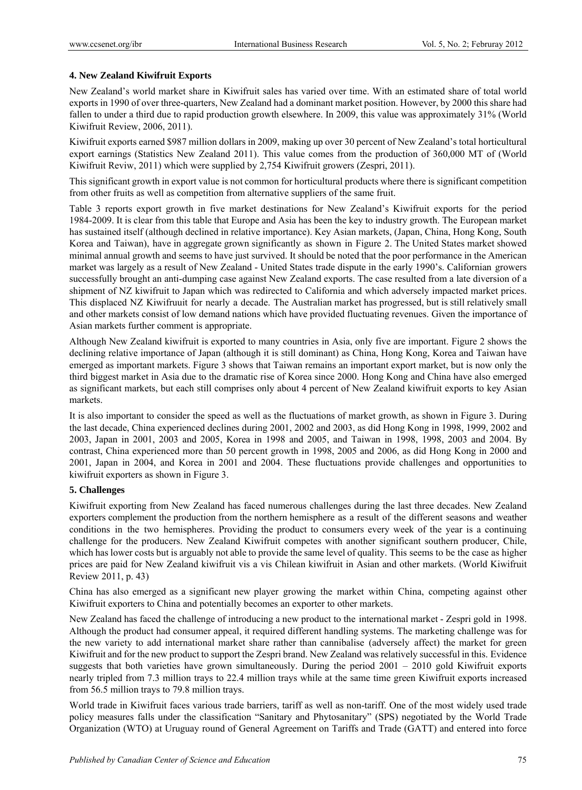# **4. New Zealand Kiwifruit Exports**

New Zealand's world market share in Kiwifruit sales has varied over time. With an estimated share of total world exports in 1990 of over three-quarters, New Zealand had a dominant market position. However, by 2000 this share had fallen to under a third due to rapid production growth elsewhere. In 2009, this value was approximately 31% (World Kiwifruit Review, 2006, 2011).

Kiwifruit exports earned \$987 million dollars in 2009, making up over 30 percent of New Zealand's total horticultural export earnings (Statistics New Zealand 2011). This value comes from the production of 360,000 MT of (World Kiwifruit Reviw, 2011) which were supplied by 2,754 Kiwifruit growers (Zespri, 2011).

This significant growth in export value is not common for horticultural products where there is significant competition from other fruits as well as competition from alternative suppliers of the same fruit.

Table 3 reports export growth in five market destinations for New Zealand's Kiwifruit exports for the period 1984-2009. It is clear from this table that Europe and Asia has been the key to industry growth. The European market has sustained itself (although declined in relative importance). Key Asian markets, (Japan, China, Hong Kong, South Korea and Taiwan), have in aggregate grown significantly as shown in Figure 2. The United States market showed minimal annual growth and seems to have just survived. It should be noted that the poor performance in the American market was largely as a result of New Zealand - United States trade dispute in the early 1990's. Californian growers successfully brought an anti-dumping case against New Zealand exports. The case resulted from a late diversion of a shipment of NZ kiwifruit to Japan which was redirected to California and which adversely impacted market prices. This displaced NZ Kiwifruuit for nearly a decade. The Australian market has progressed, but is still relatively small and other markets consist of low demand nations which have provided fluctuating revenues. Given the importance of Asian markets further comment is appropriate.

Although New Zealand kiwifruit is exported to many countries in Asia, only five are important. Figure 2 shows the declining relative importance of Japan (although it is still dominant) as China, Hong Kong, Korea and Taiwan have emerged as important markets. Figure 3 shows that Taiwan remains an important export market, but is now only the third biggest market in Asia due to the dramatic rise of Korea since 2000. Hong Kong and China have also emerged as significant markets, but each still comprises only about 4 percent of New Zealand kiwifruit exports to key Asian markets.

It is also important to consider the speed as well as the fluctuations of market growth, as shown in Figure 3. During the last decade, China experienced declines during 2001, 2002 and 2003, as did Hong Kong in 1998, 1999, 2002 and 2003, Japan in 2001, 2003 and 2005, Korea in 1998 and 2005, and Taiwan in 1998, 1998, 2003 and 2004. By contrast, China experienced more than 50 percent growth in 1998, 2005 and 2006, as did Hong Kong in 2000 and 2001, Japan in 2004, and Korea in 2001 and 2004. These fluctuations provide challenges and opportunities to kiwifruit exporters as shown in Figure 3.

# **5. Challenges**

Kiwifruit exporting from New Zealand has faced numerous challenges during the last three decades. New Zealand exporters complement the production from the northern hemisphere as a result of the different seasons and weather conditions in the two hemispheres. Providing the product to consumers every week of the year is a continuing challenge for the producers. New Zealand Kiwifruit competes with another significant southern producer, Chile, which has lower costs but is arguably not able to provide the same level of quality. This seems to be the case as higher prices are paid for New Zealand kiwifruit vis a vis Chilean kiwifruit in Asian and other markets. (World Kiwifruit Review 2011, p. 43)

China has also emerged as a significant new player growing the market within China, competing against other Kiwifruit exporters to China and potentially becomes an exporter to other markets.

New Zealand has faced the challenge of introducing a new product to the international market - Zespri gold in 1998. Although the product had consumer appeal, it required different handling systems. The marketing challenge was for the new variety to add international market share rather than cannibalise (adversely affect) the market for green Kiwifruit and for the new product to support the Zespri brand. New Zealand was relatively successful in this. Evidence suggests that both varieties have grown simultaneously. During the period 2001 – 2010 gold Kiwifruit exports nearly tripled from 7.3 million trays to 22.4 million trays while at the same time green Kiwifruit exports increased from 56.5 million trays to 79.8 million trays.

World trade in Kiwifruit faces various trade barriers, tariff as well as non-tariff. One of the most widely used trade policy measures falls under the classification "Sanitary and Phytosanitary" (SPS) negotiated by the World Trade Organization (WTO) at Uruguay round of General Agreement on Tariffs and Trade (GATT) and entered into force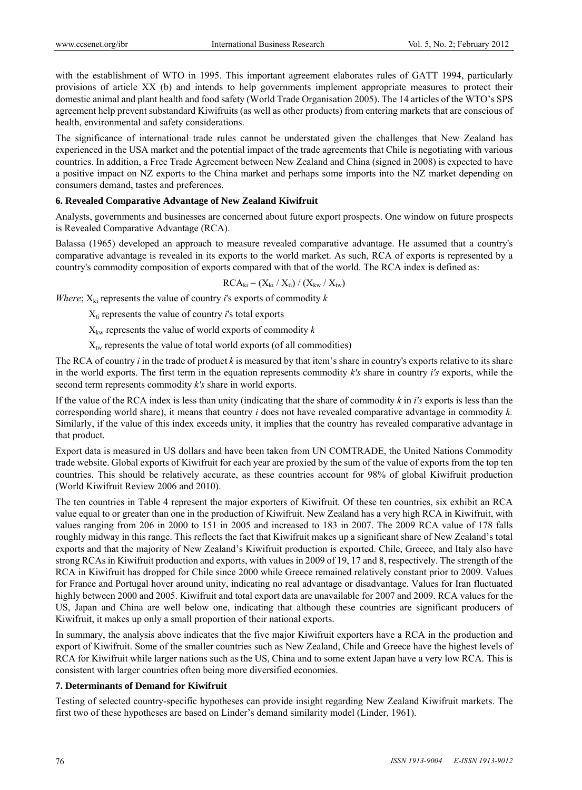with the establishment of WTO in 1995. This important agreement elaborates rules of GATT 1994, particularly provisions of article XX (b) and intends to help governments implement appropriate measures to protect their domestic animal and plant health and food safety (World Trade Organisation 2005). The 14 articles of the WTO's SPS agreement help prevent substandard Kiwifruits (as well as other products) from entering markets that are conscious of health, environmental and safety considerations.

The significance of international trade rules cannot be understated given the challenges that New Zealand has experienced in the USA market and the potential impact of the trade agreements that Chile is negotiating with various countries. In addition, a Free Trade Agreement between New Zealand and China (signed in 2008) is expected to have a positive impact on NZ exports to the China market and perhaps some imports into the NZ market depending on consumers demand, tastes and preferences.

# **6. Revealed Comparative Advantage of New Zealand Kiwifruit**

Analysts, governments and businesses are concerned about future export prospects. One window on future prospects is Revealed Comparative Advantage (RCA).

Balassa (1965) developed an approach to measure revealed comparative advantage. He assumed that a country's comparative advantage is revealed in its exports to the world market. As such, RCA of exports is represented by a country's commodity composition of exports compared with that of the world. The RCA index is defined as:

$$
RCA_{ki} = (X_{ki} / X_{ti}) / (X_{kw} / X_{tw})
$$

*Where*;  $X_{ki}$  represents the value of country *i*'s exports of commodity *k* 

 $X_{ti}$  represents the value of country *i*'s total exports

 $X_{kw}$  represents the value of world exports of commodity  $k$ 

 $X<sub>tw</sub>$  represents the value of total world exports (of all commodities)

The RCA of country *i* in the trade of product *k* is measured by that item's share in country's exports relative to its share in the world exports. The first term in the equation represents commodity *k's* share in country *i's* exports, while the second term represents commodity *k's* share in world exports.

If the value of the RCA index is less than unity (indicating that the share of commodity *k* in *i's* exports is less than the corresponding world share), it means that country *i* does not have revealed comparative advantage in commodity *k.* Similarly, if the value of this index exceeds unity, it implies that the country has revealed comparative advantage in that product.

Export data is measured in US dollars and have been taken from UN COMTRADE, the United Nations Commodity trade website. Global exports of Kiwifruit for each year are proxied by the sum of the value of exports from the top ten countries. This should be relatively accurate, as these countries account for 98% of global Kiwifruit production (World Kiwifruit Review 2006 and 2010).

The ten countries in Table 4 represent the major exporters of Kiwifruit. Of these ten countries, six exhibit an RCA value equal to or greater than one in the production of Kiwifruit. New Zealand has a very high RCA in Kiwifruit, with values ranging from 206 in 2000 to 151 in 2005 and increased to 183 in 2007. The 2009 RCA value of 178 falls roughly midway in this range. This reflects the fact that Kiwifruit makes up a significant share of New Zealand's total exports and that the majority of New Zealand's Kiwifruit production is exported. Chile, Greece, and Italy also have strong RCAs in Kiwifruit production and exports, with values in 2009 of 19, 17 and 8, respectively. The strength of the RCA in Kiwifruit has dropped for Chile since 2000 while Greece remained relatively constant prior to 2009. Values for France and Portugal hover around unity, indicating no real advantage or disadvantage. Values for Iran fluctuated highly between 2000 and 2005. Kiwifruit and total export data are unavailable for 2007 and 2009. RCA values for the US, Japan and China are well below one, indicating that although these countries are significant producers of Kiwifruit, it makes up only a small proportion of their national exports.

In summary, the analysis above indicates that the five major Kiwifruit exporters have a RCA in the production and export of Kiwifruit. Some of the smaller countries such as New Zealand, Chile and Greece have the highest levels of RCA for Kiwifruit while larger nations such as the US, China and to some extent Japan have a very low RCA. This is consistent with larger countries often being more diversified economies.

#### **7. Determinants of Demand for Kiwifruit**

Testing of selected country-specific hypotheses can provide insight regarding New Zealand Kiwifruit markets. The first two of these hypotheses are based on Linder's demand similarity model (Linder, 1961).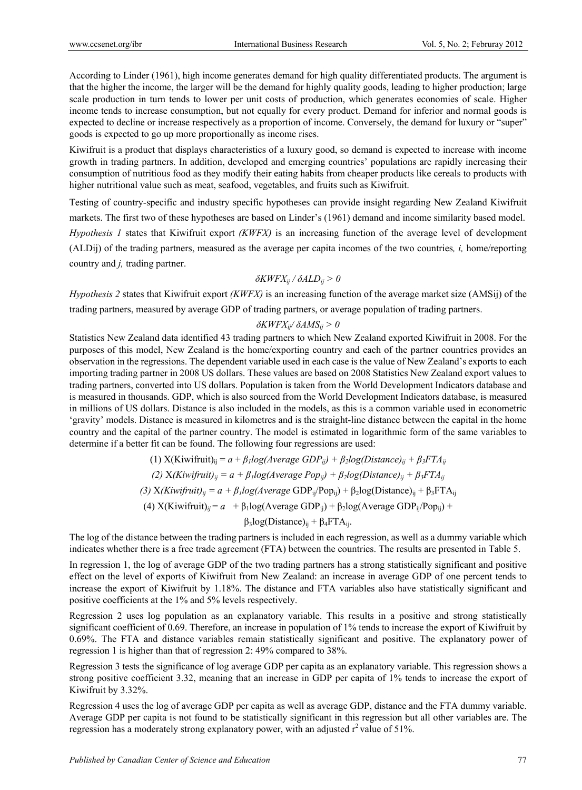According to Linder (1961), high income generates demand for high quality differentiated products. The argument is that the higher the income, the larger will be the demand for highly quality goods, leading to higher production; large scale production in turn tends to lower per unit costs of production, which generates economies of scale. Higher income tends to increase consumption, but not equally for every product. Demand for inferior and normal goods is expected to decline or increase respectively as a proportion of income. Conversely, the demand for luxury or "super" goods is expected to go up more proportionally as income rises.

Kiwifruit is a product that displays characteristics of a luxury good, so demand is expected to increase with income growth in trading partners. In addition, developed and emerging countries' populations are rapidly increasing their consumption of nutritious food as they modify their eating habits from cheaper products like cereals to products with higher nutritional value such as meat, seafood, vegetables, and fruits such as Kiwifruit.

Testing of country-specific and industry specific hypotheses can provide insight regarding New Zealand Kiwifruit markets. The first two of these hypotheses are based on Linder's (1961) demand and income similarity based model. *Hypothesis 1* states that Kiwifruit export *(KWFX)* is an increasing function of the average level of development (ALDij) of the trading partners, measured as the average per capita incomes of the two countries*, i,* home/reporting country and *j,* trading partner.

# *δKWFXij / δALDij > 0*

*Hypothesis 2* states that Kiwifruit export *(KWFX)* is an increasing function of the average market size (AMSij) of the trading partners, measured by average GDP of trading partners, or average population of trading partners.

#### *δKWFXij/ δAMSij > 0*

Statistics New Zealand data identified 43 trading partners to which New Zealand exported Kiwifruit in 2008. For the purposes of this model, New Zealand is the home/exporting country and each of the partner countries provides an observation in the regressions. The dependent variable used in each case is the value of New Zealand's exports to each importing trading partner in 2008 US dollars. These values are based on 2008 Statistics New Zealand export values to trading partners, converted into US dollars. Population is taken from the World Development Indicators database and is measured in thousands. GDP, which is also sourced from the World Development Indicators database, is measured in millions of US dollars. Distance is also included in the models, as this is a common variable used in econometric 'gravity' models. Distance is measured in kilometres and is the straight-line distance between the capital in the home country and the capital of the partner country. The model is estimated in logarithmic form of the same variables to determine if a better fit can be found. The following four regressions are used:

> (1)  $X(Kiwifruit)_{ii} = a + \beta_l log(Average GDP_{ii}) + \beta_l log(Distance)_{ii} + \beta_3 FTA_{ii}$ *(2)*  $X(Kiwifruit)_ii = a + \beta_1 log(Average Pop_{ii}) + \beta_2 log(Distance)_{ii} + \beta_3 FTA_{ii}$ *(3)*  $X(Kiwifruit)_{ij} = a + \beta_l log(Average GDP_{ij} / Pop_{ij}) + \beta_2 log(Distance)_{ij} + \beta_3 FTA_{ij}$ (4)  $X(Kiwifruit)_{ii} = a + \beta_1 log(Average GDP_{ii}) + \beta_2 log(Average GDP_{ii}/Pop_{ii}) +$  $β_3$ log(Distance)<sub>ii</sub> +  $β_4$ FTA<sub>ii</sub>.

The log of the distance between the trading partners is included in each regression, as well as a dummy variable which indicates whether there is a free trade agreement (FTA) between the countries. The results are presented in Table 5.

In regression 1, the log of average GDP of the two trading partners has a strong statistically significant and positive effect on the level of exports of Kiwifruit from New Zealand: an increase in average GDP of one percent tends to increase the export of Kiwifruit by 1.18%. The distance and FTA variables also have statistically significant and positive coefficients at the 1% and 5% levels respectively.

Regression 2 uses log population as an explanatory variable. This results in a positive and strong statistically significant coefficient of 0.69. Therefore, an increase in population of 1% tends to increase the export of Kiwifruit by 0.69%. The FTA and distance variables remain statistically significant and positive. The explanatory power of regression 1 is higher than that of regression 2: 49% compared to 38%.

Regression 3 tests the significance of log average GDP per capita as an explanatory variable. This regression shows a strong positive coefficient 3.32, meaning that an increase in GDP per capita of 1% tends to increase the export of Kiwifruit by 3.32%.

Regression 4 uses the log of average GDP per capita as well as average GDP, distance and the FTA dummy variable. Average GDP per capita is not found to be statistically significant in this regression but all other variables are. The regression has a moderately strong explanatory power, with an adjusted  $r^2$  value of 51%.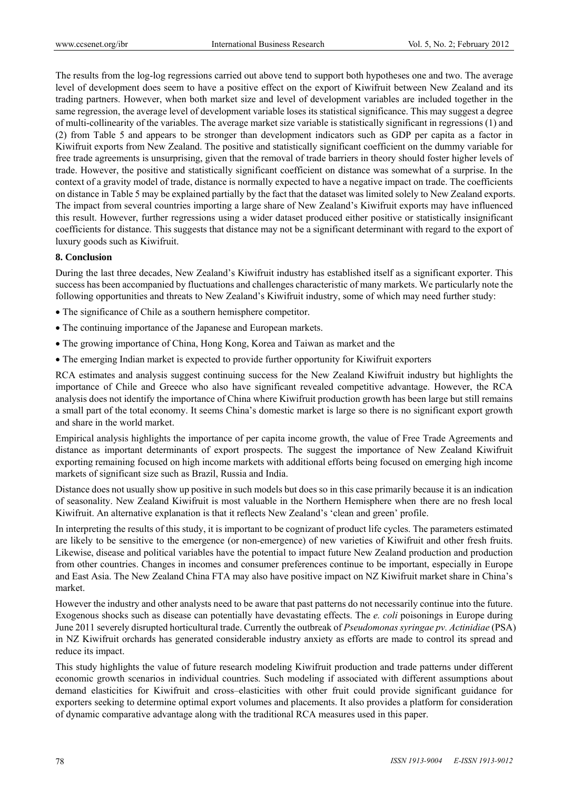The results from the log-log regressions carried out above tend to support both hypotheses one and two. The average level of development does seem to have a positive effect on the export of Kiwifruit between New Zealand and its trading partners. However, when both market size and level of development variables are included together in the same regression, the average level of development variable loses its statistical significance. This may suggest a degree of multi-collinearity of the variables. The average market size variable is statistically significant in regressions (1) and (2) from Table 5 and appears to be stronger than development indicators such as GDP per capita as a factor in Kiwifruit exports from New Zealand. The positive and statistically significant coefficient on the dummy variable for free trade agreements is unsurprising, given that the removal of trade barriers in theory should foster higher levels of trade. However, the positive and statistically significant coefficient on distance was somewhat of a surprise. In the context of a gravity model of trade, distance is normally expected to have a negative impact on trade. The coefficients on distance in Table 5 may be explained partially by the fact that the dataset was limited solely to New Zealand exports. The impact from several countries importing a large share of New Zealand's Kiwifruit exports may have influenced this result. However, further regressions using a wider dataset produced either positive or statistically insignificant coefficients for distance. This suggests that distance may not be a significant determinant with regard to the export of luxury goods such as Kiwifruit.

#### **8. Conclusion**

During the last three decades, New Zealand's Kiwifruit industry has established itself as a significant exporter. This success has been accompanied by fluctuations and challenges characteristic of many markets. We particularly note the following opportunities and threats to New Zealand's Kiwifruit industry, some of which may need further study:

- The significance of Chile as a southern hemisphere competitor.
- The continuing importance of the Japanese and European markets.
- The growing importance of China, Hong Kong, Korea and Taiwan as market and the
- The emerging Indian market is expected to provide further opportunity for Kiwifruit exporters

RCA estimates and analysis suggest continuing success for the New Zealand Kiwifruit industry but highlights the importance of Chile and Greece who also have significant revealed competitive advantage. However, the RCA analysis does not identify the importance of China where Kiwifruit production growth has been large but still remains a small part of the total economy. It seems China's domestic market is large so there is no significant export growth and share in the world market.

Empirical analysis highlights the importance of per capita income growth, the value of Free Trade Agreements and distance as important determinants of export prospects. The suggest the importance of New Zealand Kiwifruit exporting remaining focused on high income markets with additional efforts being focused on emerging high income markets of significant size such as Brazil, Russia and India.

Distance does not usually show up positive in such models but does so in this case primarily because it is an indication of seasonality. New Zealand Kiwifruit is most valuable in the Northern Hemisphere when there are no fresh local Kiwifruit. An alternative explanation is that it reflects New Zealand's 'clean and green' profile.

In interpreting the results of this study, it is important to be cognizant of product life cycles. The parameters estimated are likely to be sensitive to the emergence (or non-emergence) of new varieties of Kiwifruit and other fresh fruits. Likewise, disease and political variables have the potential to impact future New Zealand production and production from other countries. Changes in incomes and consumer preferences continue to be important, especially in Europe and East Asia. The New Zealand China FTA may also have positive impact on NZ Kiwifruit market share in China's market.

However the industry and other analysts need to be aware that past patterns do not necessarily continue into the future. Exogenous shocks such as disease can potentially have devastating effects. The *e. coli* poisonings in Europe during June 2011 severely disrupted horticultural trade. Currently the outbreak of *Pseudomonas syringae pv. Actinidiae* (PSA) in NZ Kiwifruit orchards has generated considerable industry anxiety as efforts are made to control its spread and reduce its impact.

This study highlights the value of future research modeling Kiwifruit production and trade patterns under different economic growth scenarios in individual countries. Such modeling if associated with different assumptions about demand elasticities for Kiwifruit and cross–elasticities with other fruit could provide significant guidance for exporters seeking to determine optimal export volumes and placements. It also provides a platform for consideration of dynamic comparative advantage along with the traditional RCA measures used in this paper.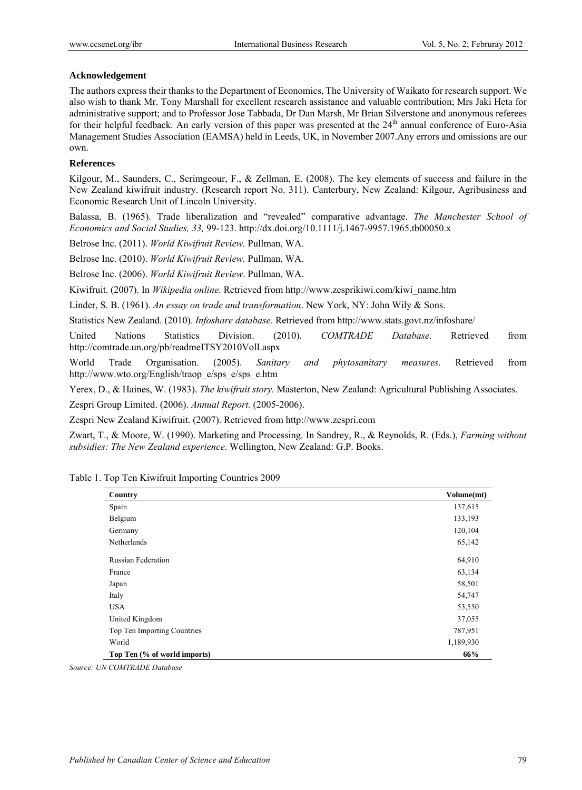### **Acknowledgement**

The authors express their thanks to the Department of Economics, The University of Waikato for research support. We also wish to thank Mr. Tony Marshall for excellent research assistance and valuable contribution; Mrs Jaki Heta for administrative support; and to Professor Jose Tabbada, Dr Dan Marsh, Mr Brian Silverstone and anonymous referees for their helpful feedback. An early version of this paper was presented at the  $24<sup>th</sup>$  annual conference of Euro-Asia Management Studies Association (EAMSA) held in Leeds, UK, in November 2007.Any errors and omissions are our own.

# **References**

Kilgour, M., Saunders, C., Scrimgeour, F., & Zellman, E. (2008). The key elements of success and failure in the New Zealand kiwifruit industry. (Research report No. 311). Canterbury, New Zealand: Kilgour, Agribusiness and Economic Research Unit of Lincoln University.

Balassa, B. (1965). Trade liberalization and "revealed" comparative advantage. *The Manchester School of Economics and Social Studies, 33,* 99-123. http://dx.doi.org/10.1111/j.1467-9957.1965.tb00050.x

Belrose Inc. (2011). *World Kiwifruit Review.* Pullman, WA.

Belrose Inc. (2010). *World Kiwifruit Review.* Pullman, WA.

Belrose Inc. (2006). *World Kiwifruit Review*. Pullman, WA.

Kiwifruit. (2007). In *Wikipedia online*. Retrieved from http://www.zesprikiwi.com/kiwi\_name.htm

Linder, S. B. (1961). *An essay on trade and transformation*. New York, NY: John Wily & Sons.

Statistics New Zealand. (2010). *Infoshare database*. Retrieved from http://www.stats.govt.nz/infoshare/

United Nations Statistics Division. (2010). *COMTRADE Database*. Retrieved from http://comtrade.un.org/pb/readmeITSY2010VolI.aspx

World Trade Organisation. (2005). *Sanitary and phytosanitary measures*. Retrieved from http://www.wto.org/English/traop\_e/sps\_e/sps\_e.htm

Yerex, D., & Haines, W. (1983). *The kiwifruit story.* Masterton, New Zealand: Agricultural Publishing Associates.

Zespri Group Limited. (2006). *Annual Report.* (2005-2006).

Zespri New Zealand Kiwifruit. (2007). Retrieved from http://www.zespri.com

Zwart, T., & Moore, W. (1990). Marketing and Processing. In Sandrey, R., & Reynolds, R. (Eds.), *Farming without subsidies: The New Zealand experience*. Wellington, New Zealand: G.P. Books.

| Country                      | Volume(mt) |
|------------------------------|------------|
| Spain                        | 137,615    |
| Belgium                      | 133,193    |
| Germany                      | 120,104    |
| Netherlands                  | 65,142     |
| <b>Russian Federation</b>    | 64,910     |
| France                       | 63,134     |
| Japan                        | 58,501     |
| Italy                        | 54,747     |
| <b>USA</b>                   | 53,550     |
| United Kingdom               | 37,055     |
| Top Ten Importing Countries  | 787,951    |
| World                        | 1,189,930  |
| Top Ten (% of world imports) | 66%        |

Table 1. Top Ten Kiwifruit Importing Countries 2009

*Source: UN COMTRADE Database*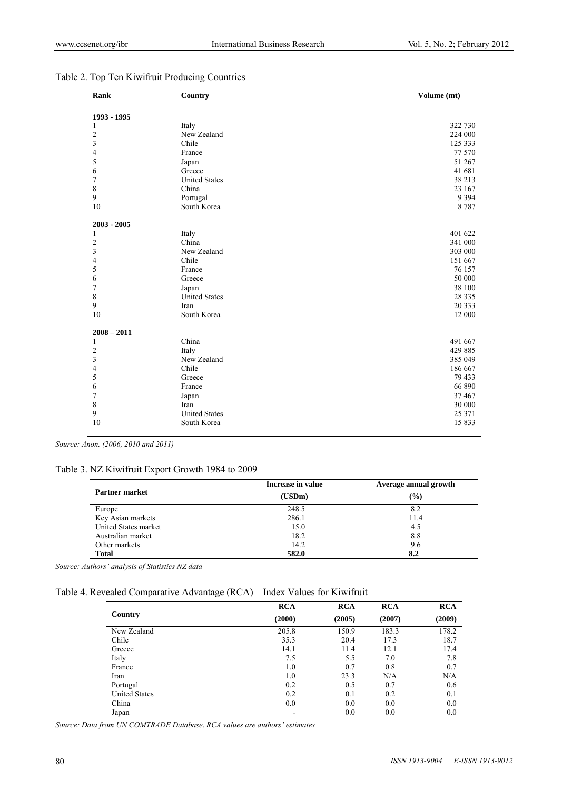| Rank           | Country              | Volume (mt) |
|----------------|----------------------|-------------|
| 1993 - 1995    |                      |             |
| 1              | Italy                | 322 730     |
| $\overline{c}$ | New Zealand          | 224 000     |
| 3              | Chile                | 125 333     |
| 4              | France               | 77 570      |
| 5              | Japan                | 51 267      |
| 6              | Greece               | 41 681      |
| $\overline{7}$ | <b>United States</b> | 38 213      |
| $\,$ $\,$      | China                | 23 167      |
| 9              | Portugal             | 9 3 9 4     |
| 10             | South Korea          | 8787        |
| $2003 - 2005$  |                      |             |
| 1              | Italy                | 401 622     |
| $\overline{c}$ | China                | 341 000     |
| 3              | New Zealand          | 303 000     |
| 4              | Chile                | 151 667     |
| 5              | France               | 76 157      |
| 6              | Greece               | 50 000      |
| $\overline{7}$ | Japan                | 38 100      |
| 8              | <b>United States</b> | 28 3 3 5    |
| 9              | Iran                 | 20 3 33     |
| 10             | South Korea          | 12 000      |
| $2008 - 2011$  |                      |             |
| 1              | China                | 491 667     |
| $\overline{c}$ | Italy                | 429 885     |
| 3              | New Zealand          | 385 049     |
| 4              | Chile                | 186 667     |
| 5              | Greece               | 79 433      |
| 6              | France               | 66 890      |
| $\overline{7}$ | Japan                | 37 467      |
| 8              | Iran                 | 30 000      |
| 9              | <b>United States</b> | 25 371      |
| 10             | South Korea          | 15833       |
|                |                      |             |

# Table 2. Top Ten Kiwifruit Producing Countries

*Source: Anon. (2006, 2010 and 2011)* 

# Table 3. NZ Kiwifruit Export Growth 1984 to 2009

|                      | Increase in value | Average annual growth |  |
|----------------------|-------------------|-----------------------|--|
| Partner market       | (USDm)            | (%)                   |  |
| Europe               | 248.5             | 8.2                   |  |
| Key Asian markets    | 286.1             | 11.4                  |  |
| United States market | 15.0              | 4.5                   |  |
| Australian market    | 18.2              | 8.8                   |  |
| Other markets        | 14.2              | 9.6                   |  |
| Total                | 582.0             | 8.2                   |  |

*Source: Authors' analysis of Statistics NZ data* 

| Table 4. Revealed Comparative Advantage (RCA) – Index Values for Kiwifruit |  |  |  |
|----------------------------------------------------------------------------|--|--|--|
|                                                                            |  |  |  |

|                      | <b>RCA</b> | <b>RCA</b> | <b>RCA</b> | <b>RCA</b> |
|----------------------|------------|------------|------------|------------|
| Country              | (2000)     | (2005)     | (2007)     | (2009)     |
| New Zealand          | 205.8      | 150.9      | 183.3      | 178.2      |
| Chile                | 35.3       | 20.4       | 17.3       | 18.7       |
| Greece               | 14.1       | 11.4       | 12.1       | 17.4       |
| Italy                | 7.5        | 5.5        | 7.0        | 7.8        |
| France               | 1.0        | 0.7        | 0.8        | 0.7        |
| Iran                 | 1.0        | 23.3       | N/A        | N/A        |
| Portugal             | 0.2        | 0.5        | 0.7        | 0.6        |
| <b>United States</b> | 0.2        | 0.1        | 0.2        | 0.1        |
| China                | 0.0        | 0.0        | 0.0        | 0.0        |
| Japan                |            | 0.0        | 0.0        | 0.0        |

*Source: Data from UN COMTRADE Database*. *RCA values are authors' estimates*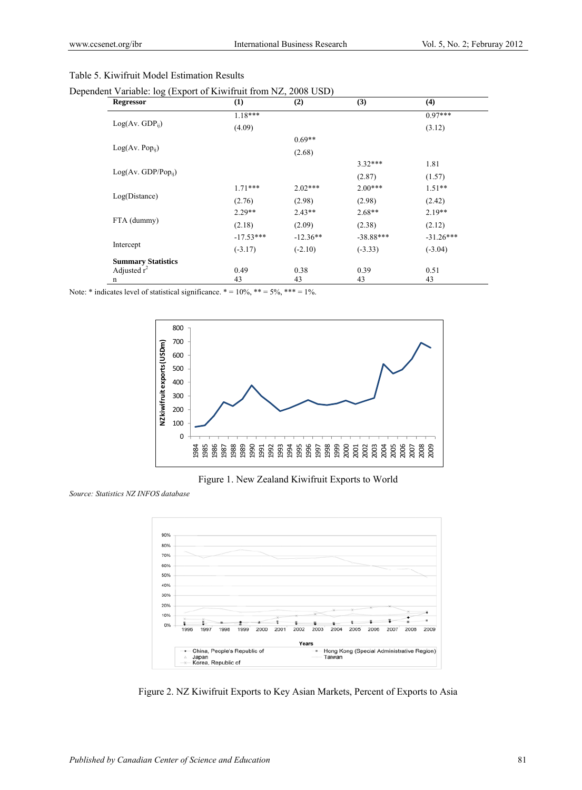# Table 5. Kiwifruit Model Estimation Results

Dependent Variable: log (Export of Kiwifruit from NZ, 2008 USD)

| <b>Regressor</b>            | (1)         | (2)        | (3)         | (4)         |
|-----------------------------|-------------|------------|-------------|-------------|
| $Log(Av. GDP_{ii})$         | $1.18***$   |            |             | $0.97***$   |
|                             | (4.09)      |            |             | (3.12)      |
| Log(Av. Pop <sub>ii</sub> ) |             | $0.69**$   |             |             |
|                             |             | (2.68)     |             |             |
| $Log(Av. GDP/Pop_{ii})$     |             |            | $3.32***$   | 1.81        |
|                             |             |            | (2.87)      | (1.57)      |
|                             | $1.71***$   | $2.02***$  | $2.00***$   | $1.51**$    |
| Log(Distance)               | (2.76)      | (2.98)     | (2.98)      | (2.42)      |
| FTA (dummy)                 | $2.29**$    | $2.43**$   | $2.68**$    | $2.19**$    |
|                             | (2.18)      | (2.09)     | (2.38)      | (2.12)      |
| Intercept                   | $-17.53***$ | $-12.36**$ | $-38.88***$ | $-31.26***$ |
|                             | $(-3.17)$   | $(-2.10)$  | $(-3.33)$   | $(-3.04)$   |
| <b>Summary Statistics</b>   |             |            |             |             |
| Adjusted $r^2$              | 0.49        | 0.38       | 0.39        | 0.51        |
| n                           | 43          | 43         | 43          | 43          |

Note:  $*$  indicates level of statistical significance.  $* = 10\%, ** = 5\%, *** = 1\%$ .



Figure 1. New Zealand Kiwifruit Exports to World

*Source: Statistics NZ INFOS database* 



Figure 2. NZ Kiwifruit Exports to Key Asian Markets, Percent of Exports to Asia